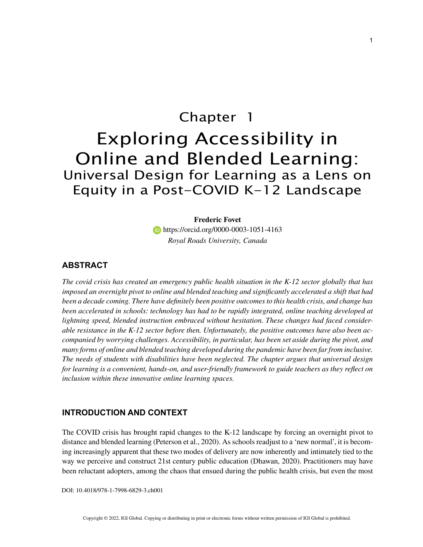# Chapter 1 Exploring Accessibility in Online and Blended Learning: Universal Design for Learning as a Lens on Equity in a Post-COVID K-12 Landscape

**Frederic Fovet https://orcid.org/0000-0003-1051-4163** *Royal Roads University, Canada*

# **ABSTRACT**

*The covid crisis has created an emergency public health situation in the K-12 sector globally that has imposed an overnight pivot to online and blended teaching and significantly accelerated a shift that had been a decade coming. There have definitely been positive outcomes to this health crisis, and change has been accelerated in schools: technology has had to be rapidly integrated, online teaching developed at lightning speed, blended instruction embraced without hesitation. These changes had faced considerable resistance in the K-12 sector before then. Unfortunately, the positive outcomes have also been accompanied by worrying challenges. Accessibility, in particular, has been set aside during the pivot, and many forms of online and blended teaching developed during the pandemic have been far from inclusive. The needs of students with disabilities have been neglected. The chapter argues that universal design for learning is a convenient, hands-on, and user-friendly framework to guide teachers as they reflect on inclusion within these innovative online learning spaces.*

## **INTRODUCTION AND CONTEXT**

The COVID crisis has brought rapid changes to the K-12 landscape by forcing an overnight pivot to distance and blended learning (Peterson et al., 2020). As schools readjust to a 'new normal', it is becoming increasingly apparent that these two modes of delivery are now inherently and intimately tied to the way we perceive and construct 21st century public education (Dhawan, 2020). Practitioners may have been reluctant adopters, among the chaos that ensued during the public health crisis, but even the most

DOI: 10.4018/978-1-7998-6829-3.ch001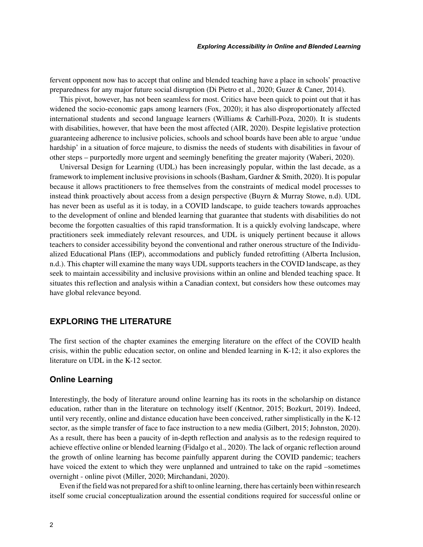fervent opponent now has to accept that online and blended teaching have a place in schools' proactive preparedness for any major future social disruption (Di Pietro et al., 2020; Guzer & Caner, 2014).

This pivot, however, has not been seamless for most. Critics have been quick to point out that it has widened the socio-economic gaps among learners (Fox, 2020); it has also disproportionately affected international students and second language learners (Williams & Carhill-Poza, 2020). It is students with disabilities, however, that have been the most affected (AIR, 2020). Despite legislative protection guaranteeing adherence to inclusive policies, schools and school boards have been able to argue 'undue hardship' in a situation of force majeure, to dismiss the needs of students with disabilities in favour of other steps – purportedly more urgent and seemingly benefiting the greater majority (Waberi, 2020).

Universal Design for Learning (UDL) has been increasingly popular, within the last decade, as a framework to implement inclusive provisions in schools (Basham, Gardner & Smith, 2020). It is popular because it allows practitioners to free themselves from the constraints of medical model processes to instead think proactively about access from a design perspective (Buyrn & Murray Stowe, n.d). UDL has never been as useful as it is today, in a COVID landscape, to guide teachers towards approaches to the development of online and blended learning that guarantee that students with disabilities do not become the forgotten casualties of this rapid transformation. It is a quickly evolving landscape, where practitioners seek immediately relevant resources, and UDL is uniquely pertinent because it allows teachers to consider accessibility beyond the conventional and rather onerous structure of the Individualized Educational Plans (IEP), accommodations and publicly funded retrofitting (Alberta Inclusion, n.d.). This chapter will examine the many ways UDL supports teachers in the COVID landscape, as they seek to maintain accessibility and inclusive provisions within an online and blended teaching space. It situates this reflection and analysis within a Canadian context, but considers how these outcomes may have global relevance beyond.

# **EXPLORING THE LITERATURE**

The first section of the chapter examines the emerging literature on the effect of the COVID health crisis, within the public education sector, on online and blended learning in K-12; it also explores the literature on UDL in the K-12 sector.

## **Online Learning**

Interestingly, the body of literature around online learning has its roots in the scholarship on distance education, rather than in the literature on technology itself (Kentnor, 2015; Bozkurt, 2019). Indeed, until very recently, online and distance education have been conceived, rather simplistically in the K-12 sector, as the simple transfer of face to face instruction to a new media (Gilbert, 2015; Johnston, 2020). As a result, there has been a paucity of in-depth reflection and analysis as to the redesign required to achieve effective online or blended learning (Fidalgo et al., 2020). The lack of organic reflection around the growth of online learning has become painfully apparent during the COVID pandemic; teachers have voiced the extent to which they were unplanned and untrained to take on the rapid –sometimes overnight - online pivot (Miller, 2020; Mirchandani, 2020).

Even if the field was not prepared for a shift to online learning, there has certainly been within research itself some crucial conceptualization around the essential conditions required for successful online or